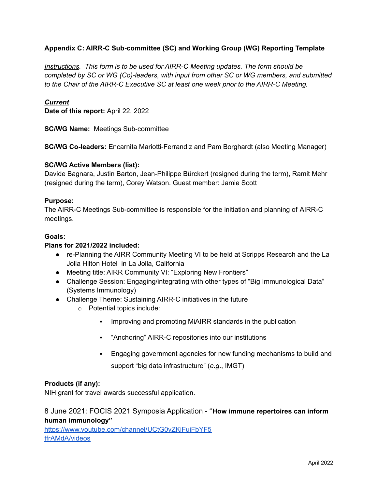## **Appendix C: AIRR-C Sub-committee (SC) and Working Group (WG) Reporting Template**

*Instructions. This form is to be used for AIRR-C Meeting updates. The form should be completed by SC or WG (Co)-leaders, with input from other SC or WG members, and submitted to the Chair of the AIRR-C Executive SC at least one week prior to the AIRR-C Meeting.*

### *Current*

**Date of this report:** April 22, 2022

**SC/WG Name:** Meetings Sub-committee

**SC/WG Co-leaders:** Encarnita Mariotti-Ferrandiz and Pam Borghardt (also Meeting Manager)

### **SC/WG Active Members (list):**

Davide Bagnara, Justin Barton, Jean-Philippe Bürckert (resigned during the term), Ramit Mehr (resigned during the term), Corey Watson. Guest member: Jamie Scott

### **Purpose:**

The AIRR-C Meetings Sub-committee is responsible for the initiation and planning of [AIRR-C](https://www.antibodysociety.org/the-airr-community/meetings/) [meetings.](https://www.antibodysociety.org/the-airr-community/meetings/)

#### **Goals:**

### **Plans for 2021/2022 included:**

- re-Planning the AIRR Community Meeting VI to be held at Scripps Research and the La Jolla Hilton Hotel in La Jolla, California
- Meeting title: AIRR Community VI: "Exploring New Frontiers"
- Challenge Session: Engaging/integrating with other types of "Big Immunological Data" (Systems Immunology)
- Challenge Theme: Sustaining AIRR-C initiatives in the future
	- o Potential topics include:
		- **Improving and promoting MiAIRR standards in the publication**
		- "Anchoring" AIRR-C repositories into our institutions
		- Engaging government agencies for new funding mechanisms to build and

support "big data infrastructure" (*e.g*., IMGT)

#### **Products (if any):**

NIH grant for travel awards successful application.

# 8 June 2021: FOCIS 2021 Symposia Application - "**How immune repertoires can inform human immunology"**

[https://www.youtube.com/channel/UCtG0yZKjFuiFbYF5](https://www.youtube.com/channel/UCtG0yZKjFuiFbYF5tfrAMdA/videos) [tfrAMdA/videos](https://www.youtube.com/channel/UCtG0yZKjFuiFbYF5tfrAMdA/videos)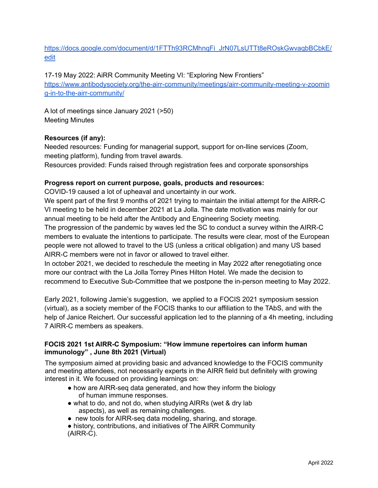# [https://docs.google.com/document/d/1FTTh93RCMhnqFi\\_JrN07LsUTTt8eROskGwvaqbBCbkE/](https://docs.google.com/document/d/1FTTh93RCMhnqFi_JrN07LsUTTt8eROskGwvaqbBCbkE/edit) [edit](https://docs.google.com/document/d/1FTTh93RCMhnqFi_JrN07LsUTTt8eROskGwvaqbBCbkE/edit)

## 17-19 May 2022: AiRR Community Meeting VI: "Exploring New Frontiers"

[https://www.antibodysociety.org/the-airr-community/meetings/airr-community-meeting-v-zoomin](https://www.antibodysociety.org/the-airr-community/meetings/airr-community-meeting-v-zooming-in-to-the-airr-community/) [g-in-to-the-airr-community/](https://www.antibodysociety.org/the-airr-community/meetings/airr-community-meeting-v-zooming-in-to-the-airr-community/)

A lot of meetings since January 2021 (>50) Meeting Minutes

## **Resources (if any):**

Needed resources: Funding for managerial support, support for on-lline services (Zoom, meeting platform), funding from travel awards.

Resources provided: Funds raised through registration fees and corporate sponsorships

### **Progress report on current purpose, goals, products and resources:**

COVID-19 caused a lot of upheaval and uncertainty in our work.

We spent part of the first 9 months of 2021 trying to maintain the initial attempt for the AIRR-C VI meeting to be held in december 2021 at La Jolla. The date motivation was mainly for our annual meeting to be held after the Antibody and Engineering Society meeting.

The progression of the pandemic by waves led the SC to conduct a survey within the AIRR-C members to evaluate the intentions to participate. The results were clear, most of the European people were not allowed to travel to the US (unless a critical obligation) and many US based AIRR-C members were not in favor or allowed to travel either.

In october 2021, we decided to reschedule the meeting in May 2022 after renegotiating once more our contract with the La Jolla Torrey Pines Hilton Hotel. We made the decision to recommend to Executive Sub-Committee that we postpone the in-person meeting to May 2022.

Early 2021, following Jamie's suggestion, we applied to a FOCIS 2021 symposium session (virtual), as a society member of the FOCIS thanks to our affiliation to the TAbS, and with the help of Janice Reichert. Our successful application led to the planning of a 4h meeting, including 7 AIRR-C members as speakers.

## **FOCIS 2021 1st AIRR-C Symposium: "How immune repertoires can inform human immunology" , June 8th 2021 (Virtual)**

The symposium aimed at providing basic and advanced knowledge to the FOCIS community and meeting attendees, not necessarily experts in the AIRR field but definitely with growing interest in it. We focused on providing learnings on:

- how are AIRR-seq data generated, and how they inform the biology of human immune responses.
- what to do, and not do, when studying AIRRs (wet & dry lab aspects), as well as remaining challenges.
- new tools for AIRR-seg data modeling, sharing, and storage.

• history, contributions, and initiatives of The AIRR Community (AIRR-C).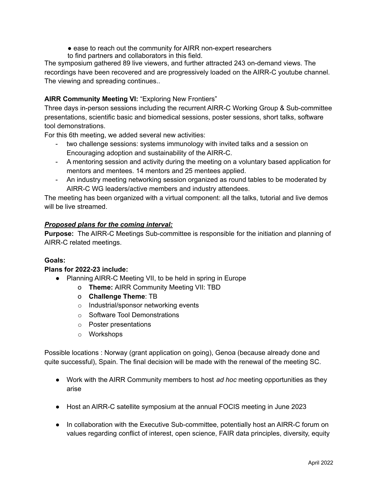- ease to reach out the community for AIRR non-expert researchers
- to find partners and collaborators in this field.

The symposium gathered 89 live viewers, and further attracted 243 on-demand views. The recordings have been recovered and are progressively loaded on the AIRR-C youtube channel. The viewing and spreading continues..

# **AIRR Community Meeting VI:** "Exploring New Frontiers"

Three days in-person sessions including the recurrent AIRR-C Working Group & Sub-committee presentations, scientific basic and biomedical sessions, poster sessions, short talks, software tool demonstrations.

For this 6th meeting, we added several new activities:

- two challenge sessions: systems immunology with invited talks and a session on Encouraging adoption and sustainability of the AIRR-C.
- A mentoring session and activity during the meeting on a voluntary based application for mentors and mentees. 14 mentors and 25 mentees applied.
- An industry meeting networking session organized as round tables to be moderated by AIRR-C WG leaders/active members and industry attendees.

The meeting has been organized with a virtual component: all the talks, tutorial and live demos will be live streamed.

## *Proposed plans for the coming interval:*

**Purpose:** The AIRR-C Meetings Sub-committee is responsible for the initiation and planning of AIRR-C related [meetings](https://www.antibodysociety.org/the-airr-community/meetings/).

## **Goals:**

## **Plans for 2022-23 include:**

- Planning AIRR-C Meeting VII, to be held in spring in Europe
	- o **Theme:** AIRR Community Meeting VII: TBD
	- o **Challenge Theme**: TB
	- o Industrial/sponsor networking events
	- o Software Tool Demonstrations
	- o Poster presentations
	- o Workshops

Possible locations : Norway (grant application on going), Genoa (because already done and quite successful), Spain. The final decision will be made with the renewal of the meeting SC.

- **●** Work with the AIRR Community members to host *ad hoc* meeting opportunities as they arise
- Host an AIRR-C satellite symposium at the annual FOCIS meeting in June 2023
- In collaboration with the Executive Sub-committee, potentially host an AIRR-C forum on values regarding conflict of interest, open science, FAIR data principles, diversity, equity